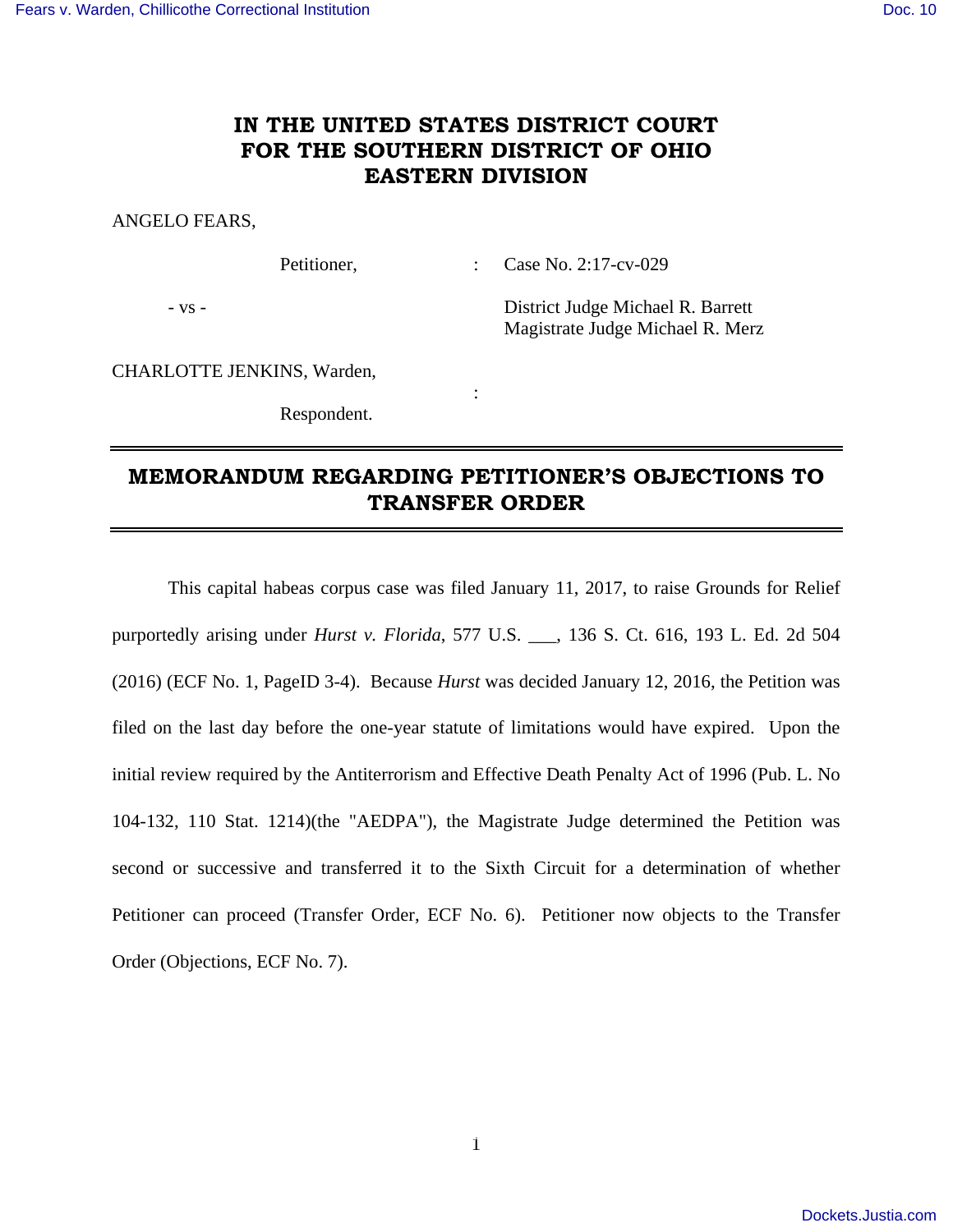## **IN THE UNITED STATES DISTRICT COURT FOR THE SOUTHERN DISTRICT OF OHIO EASTERN DIVISION**

ANGELO FEARS,

Petitioner, : Case No. 2:17-cv-029

- vs - District Judge Michael R. Barrett Magistrate Judge Michael R. Merz

CHARLOTTE JENKINS, Warden,

Respondent.

**Service State State State** 

## **MEMORANDUM REGARDING PETITIONER'S OBJECTIONS TO TRANSFER ORDER**

 This capital habeas corpus case was filed January 11, 2017, to raise Grounds for Relief purportedly arising under *Hurst v. Florida*, 577 U.S. \_\_\_, 136 S. Ct. 616, 193 L. Ed. 2d 504 (2016) (ECF No. 1, PageID 3-4). Because *Hurst* was decided January 12, 2016, the Petition was filed on the last day before the one-year statute of limitations would have expired. Upon the initial review required by the Antiterrorism and Effective Death Penalty Act of 1996 (Pub. L. No 104-132, 110 Stat. 1214)(the "AEDPA"), the Magistrate Judge determined the Petition was second or successive and transferred it to the Sixth Circuit for a determination of whether Petitioner can proceed (Transfer Order, ECF No. 6). Petitioner now objects to the Transfer Order (Objections, ECF No. 7).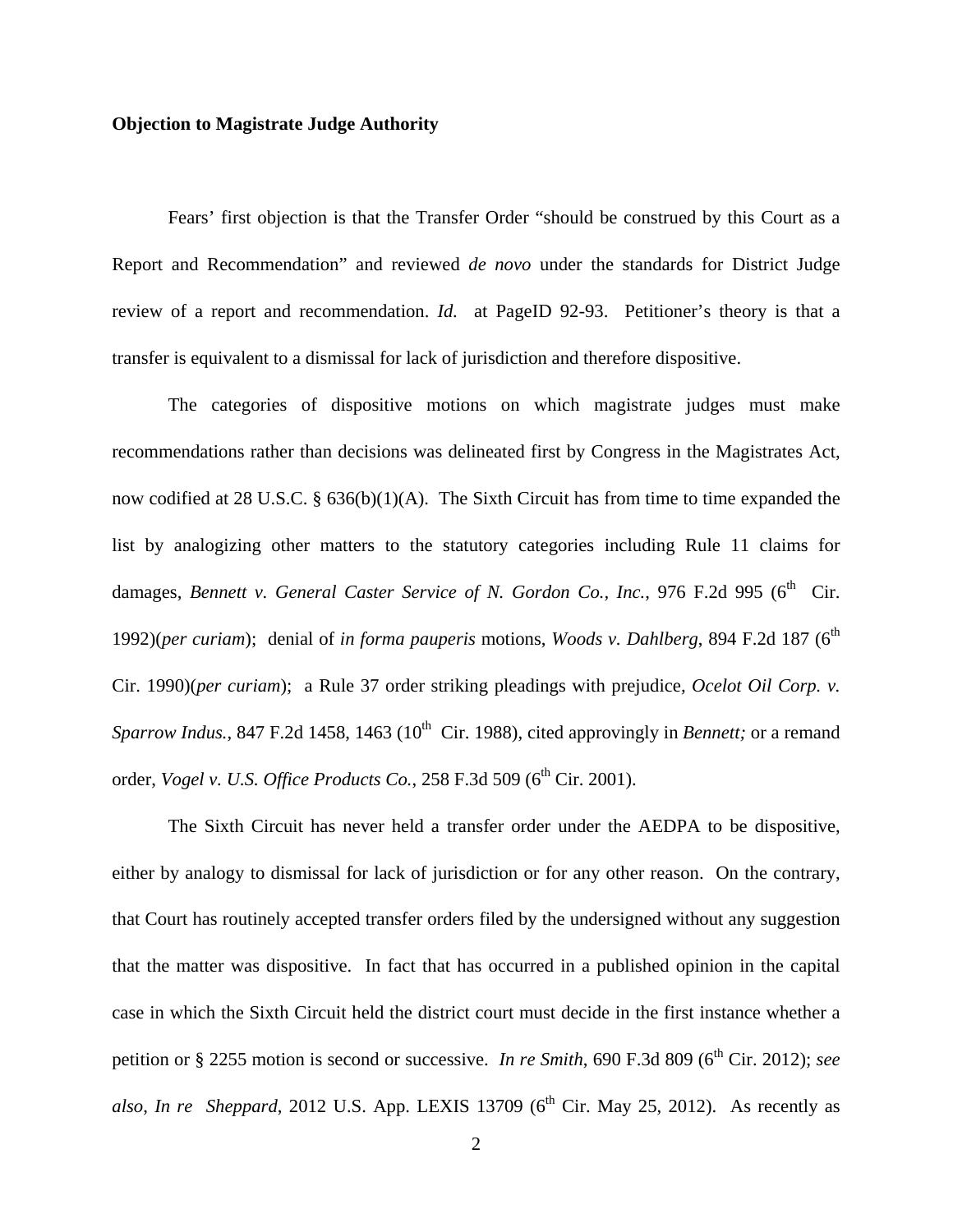## **Objection to Magistrate Judge Authority**

 Fears' first objection is that the Transfer Order "should be construed by this Court as a Report and Recommendation" and reviewed *de novo* under the standards for District Judge review of a report and recommendation. *Id.* at PageID 92-93. Petitioner's theory is that a transfer is equivalent to a dismissal for lack of jurisdiction and therefore dispositive.

 The categories of dispositive motions on which magistrate judges must make recommendations rather than decisions was delineated first by Congress in the Magistrates Act, now codified at 28 U.S.C. § 636(b)(1)(A). The Sixth Circuit has from time to time expanded the list by analogizing other matters to the statutory categories including Rule 11 claims for damages, *Bennett v. General Caster Service of N. Gordon Co., Inc.*, 976 F.2d 995 (6<sup>th</sup> Cir. 1992)(per curiam); denial of *in forma pauperis* motions, *Woods v. Dahlberg*, 894 F.2d 187 (6<sup>th</sup> Cir. 1990)(*per curiam*); a Rule 37 order striking pleadings with prejudice, *Ocelot Oil Corp. v. Sparrow Indus.*, 847 F.2d 1458, 1463 (10<sup>th</sup> Cir. 1988), cited approvingly in *Bennett*; or a remand order, *Vogel v. U.S. Office Products Co.*, 258 F.3d 509 (6<sup>th</sup> Cir. 2001).

 The Sixth Circuit has never held a transfer order under the AEDPA to be dispositive, either by analogy to dismissal for lack of jurisdiction or for any other reason. On the contrary, that Court has routinely accepted transfer orders filed by the undersigned without any suggestion that the matter was dispositive. In fact that has occurred in a published opinion in the capital case in which the Sixth Circuit held the district court must decide in the first instance whether a petition or § 2255 motion is second or successive. *In re Smith*, 690 F.3d 809 (6<sup>th</sup> Cir. 2012); *see also*, *In re Sheppard*, 2012 U.S. App. LEXIS 13709 ( $6<sup>th</sup>$  Cir. May 25, 2012). As recently as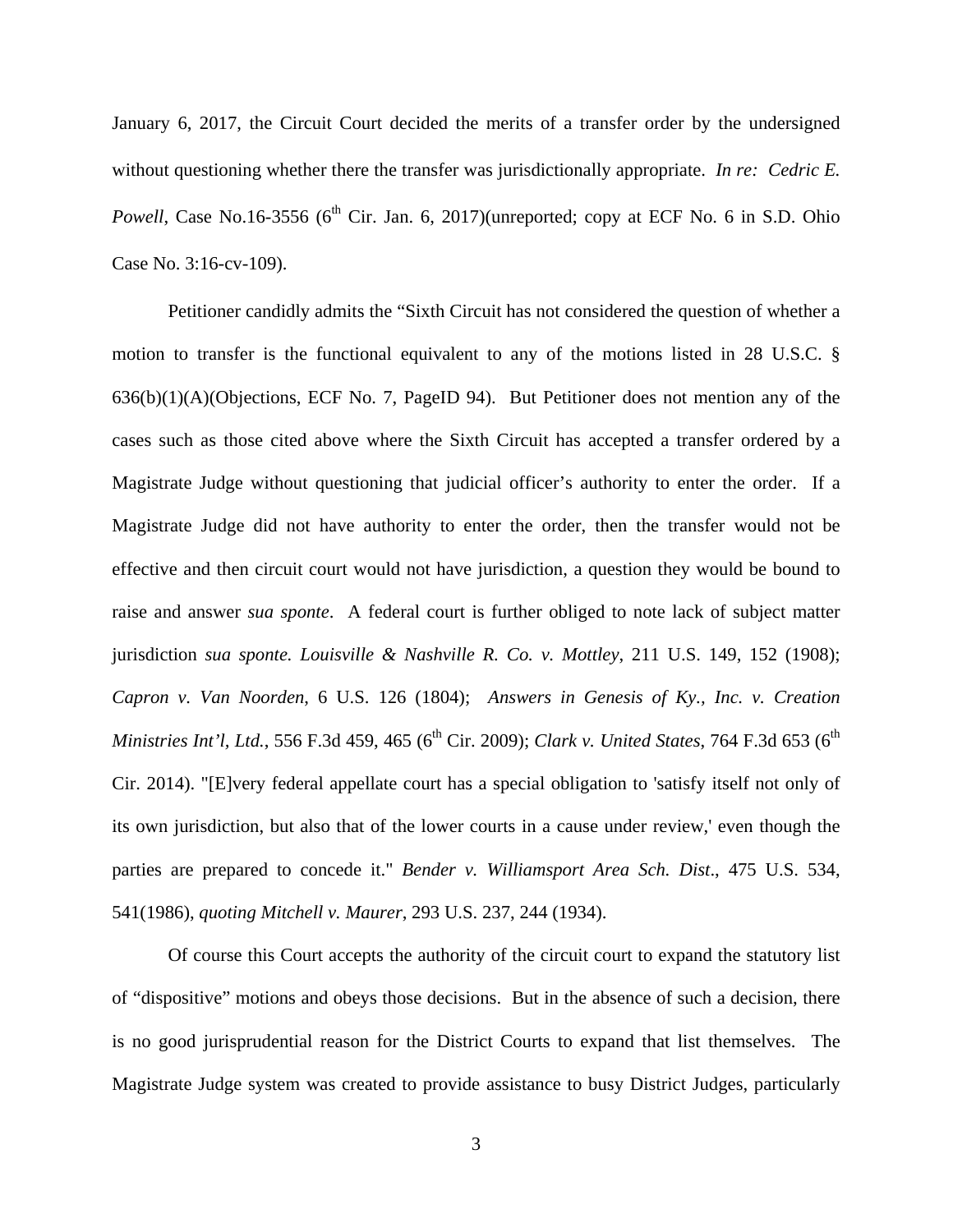January 6, 2017, the Circuit Court decided the merits of a transfer order by the undersigned without questioning whether there the transfer was jurisdictionally appropriate. *In re: Cedric E. Powell*, Case No.16-3556 ( $6<sup>th</sup>$  Cir. Jan. 6, 2017)(unreported; copy at ECF No. 6 in S.D. Ohio Case No. 3:16-cv-109).

 Petitioner candidly admits the "Sixth Circuit has not considered the question of whether a motion to transfer is the functional equivalent to any of the motions listed in 28 U.S.C. § 636(b)(1)(A)(Objections, ECF No. 7, PageID 94). But Petitioner does not mention any of the cases such as those cited above where the Sixth Circuit has accepted a transfer ordered by a Magistrate Judge without questioning that judicial officer's authority to enter the order. If a Magistrate Judge did not have authority to enter the order, then the transfer would not be effective and then circuit court would not have jurisdiction, a question they would be bound to raise and answer *sua sponte*. A federal court is further obliged to note lack of subject matter jurisdiction *sua sponte. Louisville & Nashville R. Co. v. Mottley*, 211 U.S. 149, 152 (1908); *Capron v. Van Noorden*, 6 U.S. 126 (1804); *Answers in Genesis of Ky., Inc. v. Creation Ministries Int'l, Ltd., 556 F.3d 459, 465 (6<sup>th</sup> Cir. 2009); <i>Clark v. United States, 764 F.3d 653 (6<sup>th</sup>* Cir. 2014). "[E]very federal appellate court has a special obligation to 'satisfy itself not only of its own jurisdiction, but also that of the lower courts in a cause under review,' even though the parties are prepared to concede it." *Bender v. Williamsport Area Sch. Dist*., 475 U.S. 534, 541(1986), *quoting Mitchell v. Maurer*, 293 U.S. 237, 244 (1934).

 Of course this Court accepts the authority of the circuit court to expand the statutory list of "dispositive" motions and obeys those decisions. But in the absence of such a decision, there is no good jurisprudential reason for the District Courts to expand that list themselves. The Magistrate Judge system was created to provide assistance to busy District Judges, particularly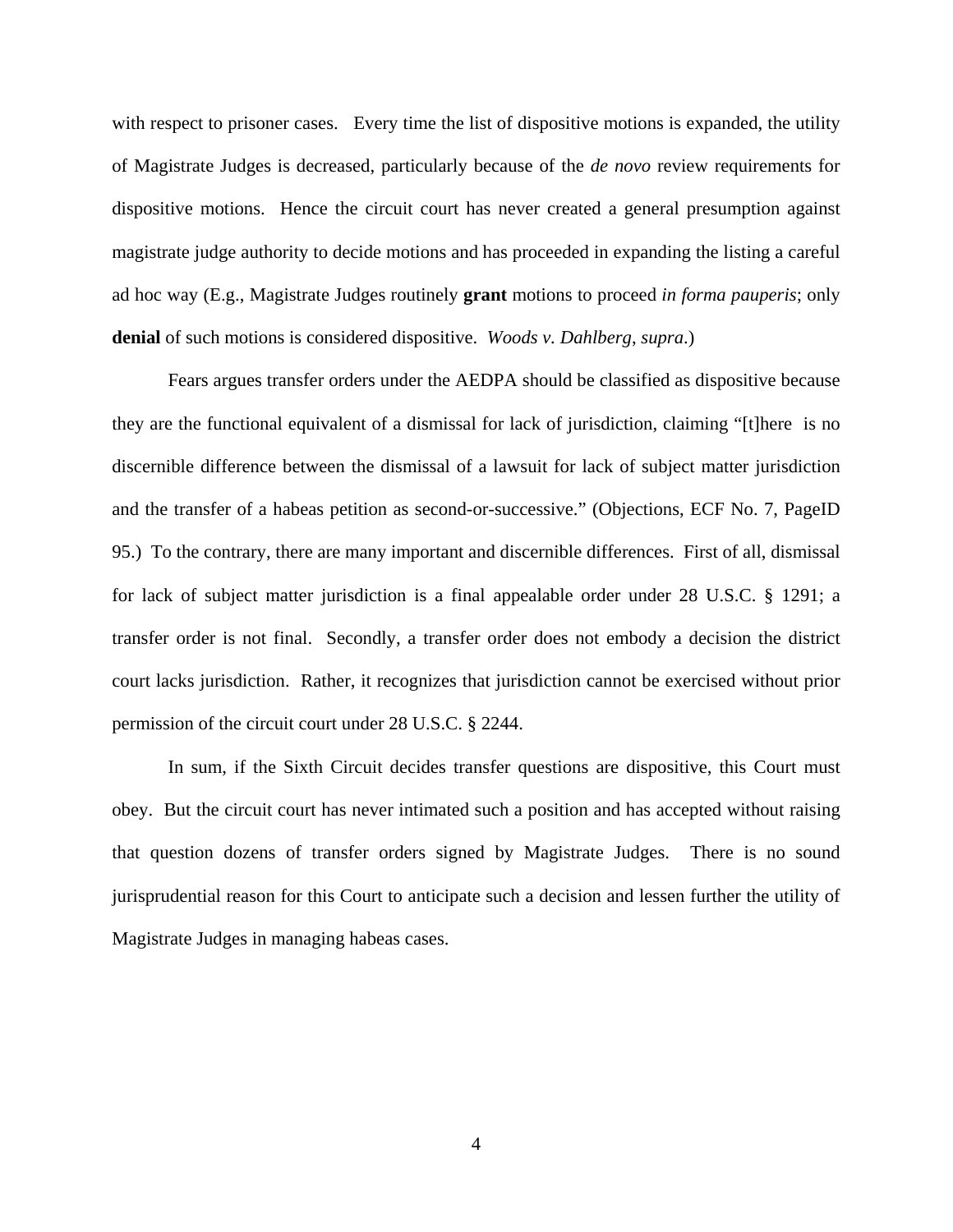with respect to prisoner cases. Every time the list of dispositive motions is expanded, the utility of Magistrate Judges is decreased, particularly because of the *de novo* review requirements for dispositive motions. Hence the circuit court has never created a general presumption against magistrate judge authority to decide motions and has proceeded in expanding the listing a careful ad hoc way (E.g., Magistrate Judges routinely **grant** motions to proceed *in forma pauperis*; only **denial** of such motions is considered dispositive. *Woods v. Dahlberg*, *supra*.)

 Fears argues transfer orders under the AEDPA should be classified as dispositive because they are the functional equivalent of a dismissal for lack of jurisdiction, claiming "[t]here is no discernible difference between the dismissal of a lawsuit for lack of subject matter jurisdiction and the transfer of a habeas petition as second-or-successive." (Objections, ECF No. 7, PageID 95.) To the contrary, there are many important and discernible differences. First of all, dismissal for lack of subject matter jurisdiction is a final appealable order under 28 U.S.C. § 1291; a transfer order is not final. Secondly, a transfer order does not embody a decision the district court lacks jurisdiction. Rather, it recognizes that jurisdiction cannot be exercised without prior permission of the circuit court under 28 U.S.C. § 2244.

 In sum, if the Sixth Circuit decides transfer questions are dispositive, this Court must obey. But the circuit court has never intimated such a position and has accepted without raising that question dozens of transfer orders signed by Magistrate Judges. There is no sound jurisprudential reason for this Court to anticipate such a decision and lessen further the utility of Magistrate Judges in managing habeas cases.